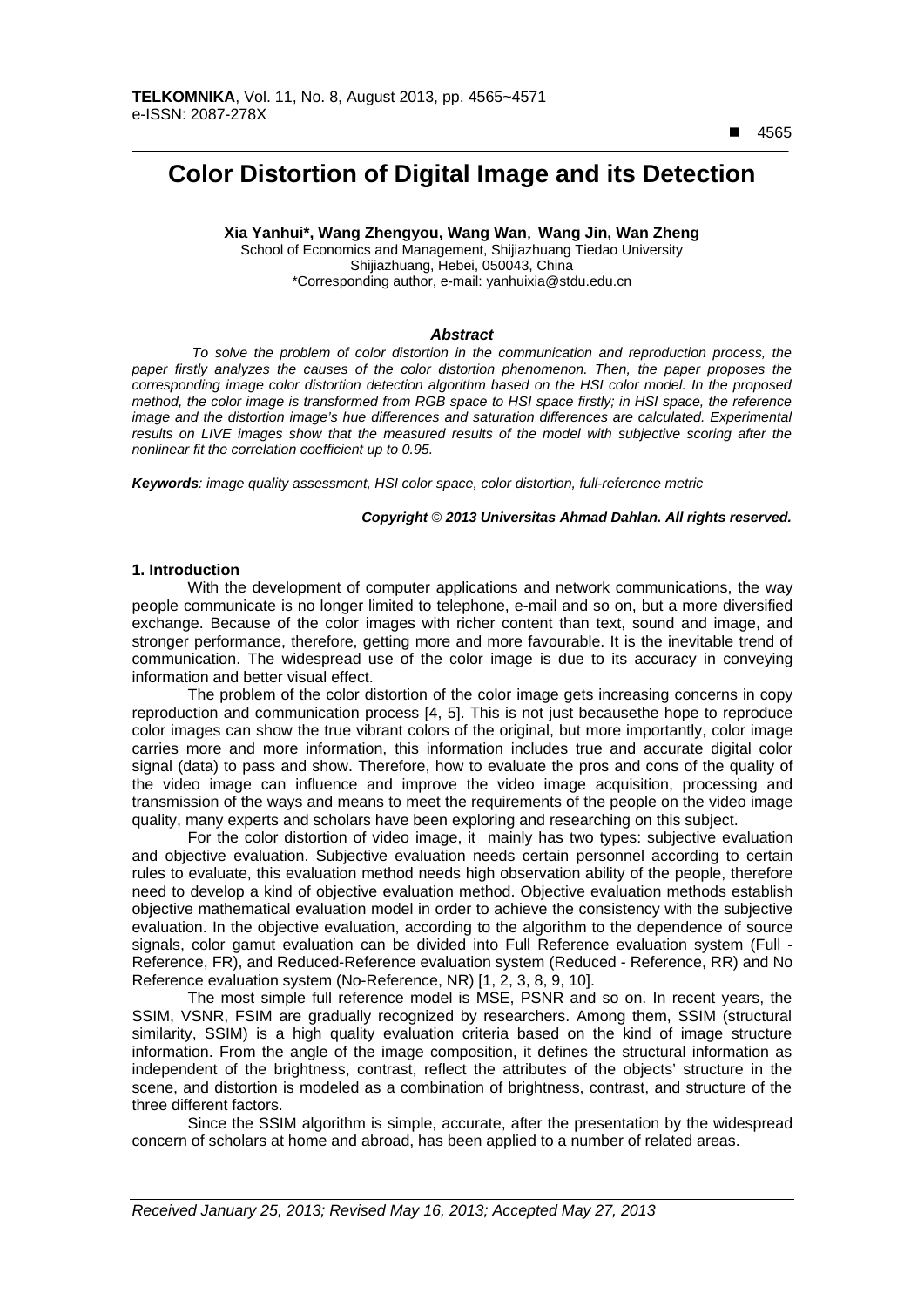$\overline{a}$ 

# **Color Distortion of Digital Image and its Detection**

**Xia Yanhui\*, Wang Zhengyou, Wang Wan**,**Wang Jin, Wan Zheng** 

School of Economics and Management, Shijiazhuang Tiedao University Shijiazhuang, Hebei, 050043, China \*Corresponding author, e-mail: yanhuixia@stdu.edu.cn

# *Abstract*

*To solve the problem of color distortion in the communication and reproduction process, the paper firstly analyzes the causes of the color distortion phenomenon. Then, the paper proposes the corresponding image color distortion detection algorithm based on the HSI color model. In the proposed method, the color image is transformed from RGB space to HSI space firstly; in HSI space, the reference image and the distortion image's hue differences and saturation differences are calculated. Experimental* results on LIVE images show that the measured results of the model with subjective scoring after the *nonlinear fit the correlation coefficient up to 0.95.* 

*Keywords: image quality assessment, HSI color space, color distortion, full-reference metric*

#### *Copyright* © *2013 Universitas Ahmad Dahlan. All rights reserved.*

#### **1. Introduction**

With the development of computer applications and network communications, the way people communicate is no longer limited to telephone, e-mail and so on, but a more diversified exchange. Because of the color images with richer content than text, sound and image, and stronger performance, therefore, getting more and more favourable. It is the inevitable trend of communication. The widespread use of the color image is due to its accuracy in conveying information and better visual effect.

The problem of the color distortion of the color image gets increasing concerns in copy reproduction and communication process [4, 5]. This is not just becausethe hope to reproduce color images can show the true vibrant colors of the original, but more importantly, color image carries more and more information, this information includes true and accurate digital color signal (data) to pass and show. Therefore, how to evaluate the pros and cons of the quality of the video image can influence and improve the video image acquisition, processing and transmission of the ways and means to meet the requirements of the people on the video image quality, many experts and scholars have been exploring and researching on this subject.

For the color distortion of video image, it mainly has two types: subjective evaluation and objective evaluation. Subjective evaluation needs certain personnel according to certain rules to evaluate, this evaluation method needs high observation ability of the people, therefore need to develop a kind of objective evaluation method. Objective evaluation methods establish objective mathematical evaluation model in order to achieve the consistency with the subjective evaluation. In the objective evaluation, according to the algorithm to the dependence of source signals, color gamut evaluation can be divided into Full Reference evaluation system (Full - Reference, FR), and Reduced-Reference evaluation system (Reduced - Reference, RR) and No Reference evaluation system (No-Reference, NR) [1, 2, 3, 8, 9, 10].

The most simple full reference model is MSE, PSNR and so on. In recent years, the SSIM, VSNR, FSIM are gradually recognized by researchers. Among them, SSIM (structural similarity, SSIM) is a high quality evaluation criteria based on the kind of image structure information. From the angle of the image composition, it defines the structural information as independent of the brightness, contrast, reflect the attributes of the objects' structure in the scene, and distortion is modeled as a combination of brightness, contrast, and structure of the three different factors.

Since the SSIM algorithm is simple, accurate, after the presentation by the widespread concern of scholars at home and abroad, has been applied to a number of related areas.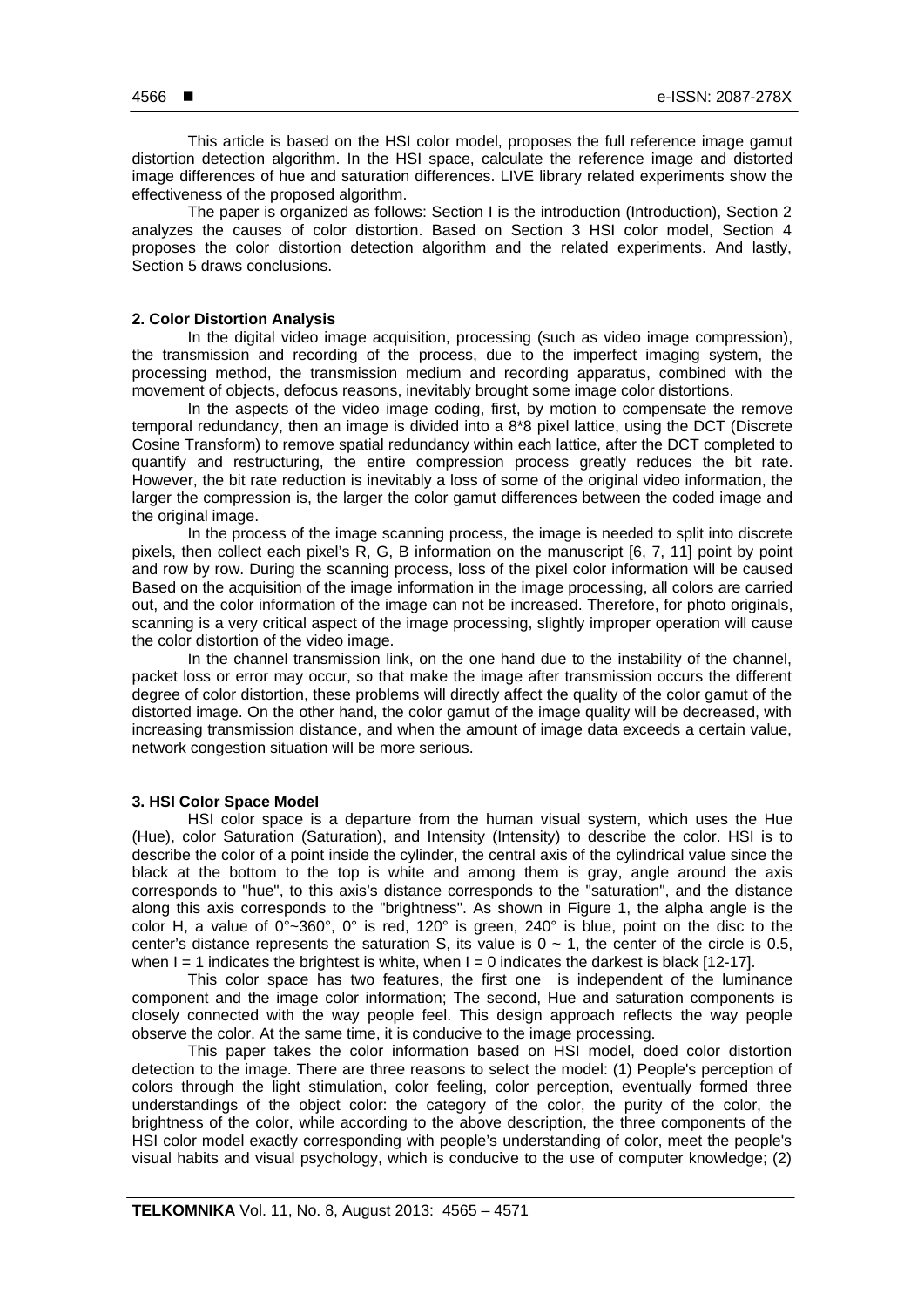This article is based on the HSI color model, proposes the full reference image gamut distortion detection algorithm. In the HSI space, calculate the reference image and distorted image differences of hue and saturation differences. LIVE library related experiments show the effectiveness of the proposed algorithm.

The paper is organized as follows: Section I is the introduction (Introduction), Section 2 analyzes the causes of color distortion. Based on Section 3 HSI color model, Section 4 proposes the color distortion detection algorithm and the related experiments. And lastly, Section 5 draws conclusions.

#### **2. Color Distortion Analysis**

In the digital video image acquisition, processing (such as video image compression), the transmission and recording of the process, due to the imperfect imaging system, the processing method, the transmission medium and recording apparatus, combined with the movement of objects, defocus reasons, inevitably brought some image color distortions.

In the aspects of the video image coding, first, by motion to compensate the remove temporal redundancy, then an image is divided into a 8\*8 pixel lattice, using the DCT (Discrete Cosine Transform) to remove spatial redundancy within each lattice, after the DCT completed to quantify and restructuring, the entire compression process greatly reduces the bit rate. However, the bit rate reduction is inevitably a loss of some of the original video information, the larger the compression is, the larger the color gamut differences between the coded image and the original image.

In the process of the image scanning process, the image is needed to split into discrete pixels, then collect each pixel's R, G, B information on the manuscript [6, 7, 11] point by point and row by row. During the scanning process, loss of the pixel color information will be caused Based on the acquisition of the image information in the image processing, all colors are carried out, and the color information of the image can not be increased. Therefore, for photo originals, scanning is a very critical aspect of the image processing, slightly improper operation will cause the color distortion of the video image.

In the channel transmission link, on the one hand due to the instability of the channel, packet loss or error may occur, so that make the image after transmission occurs the different degree of color distortion, these problems will directly affect the quality of the color gamut of the distorted image. On the other hand, the color gamut of the image quality will be decreased, with increasing transmission distance, and when the amount of image data exceeds a certain value, network congestion situation will be more serious.

## **3. HSI Color Space Model**

HSI color space is a departure from the human visual system, which uses the Hue (Hue), color Saturation (Saturation), and Intensity (Intensity) to describe the color. HSI is to describe the color of a point inside the cylinder, the central axis of the cylindrical value since the black at the bottom to the top is white and among them is gray, angle around the axis corresponds to "hue", to this axis's distance corresponds to the "saturation", and the distance along this axis corresponds to the "brightness". As shown in Figure 1, the alpha angle is the color H, a value of  $0^{\circ}$ ~360°,  $0^{\circ}$  is red, 120° is green, 240° is blue, point on the disc to the center's distance represents the saturation S, its value is  $0 \sim 1$ , the center of the circle is 0.5, when  $I = 1$  indicates the brightest is white, when  $I = 0$  indicates the darkest is black [12-17].

This color space has two features, the first one is independent of the luminance component and the image color information; The second, Hue and saturation components is closely connected with the way people feel. This design approach reflects the way people observe the color. At the same time, it is conducive to the image processing.

This paper takes the color information based on HSI model, doed color distortion detection to the image. There are three reasons to select the model: (1) People's perception of colors through the light stimulation, color feeling, color perception, eventually formed three understandings of the object color: the category of the color, the purity of the color, the brightness of the color, while according to the above description, the three components of the HSI color model exactly corresponding with people's understanding of color, meet the people's visual habits and visual psychology, which is conducive to the use of computer knowledge; (2)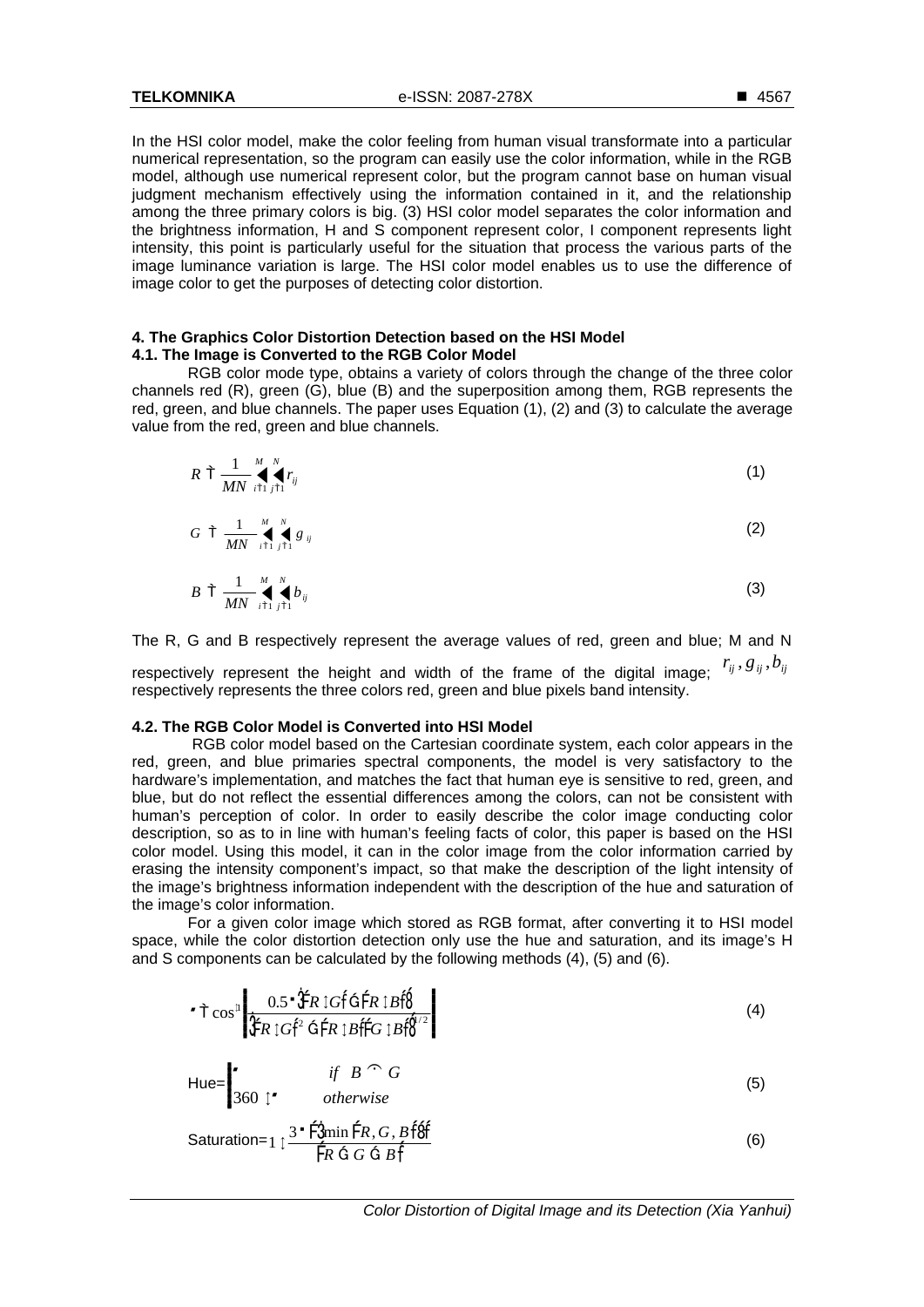**TELKOMNIKA** e-ISSN: 2087-278X

In the HSI color model, make the color feeling from human visual transformate into a particular numerical representation, so the program can easily use the color information, while in the RGB model, although use numerical represent color, but the program cannot base on human visual judgment mechanism effectively using the information contained in it, and the relationship among the three primary colors is big. (3) HSI color model separates the color information and the brightness information, H and S component represent color, I component represents light intensity, this point is particularly useful for the situation that process the various parts of the image luminance variation is large. The HSI color model enables us to use the difference of image color to get the purposes of detecting color distortion.

#### **4. The Graphics Color Distortion Detection based on the HSI Model 4.1. The Image is Converted to the RGB Color Model**

RGB color mode type, obtains a variety of colors through the change of the three color channels red (R), green (G), blue (B) and the superposition among them, RGB represents the red, green, and blue channels. The paper uses Equation (1), (2) and (3) to calculate the average value from the red, green and blue channels.

$$
R \dagger \frac{1}{MN} \prod_{i \uparrow i}^{M} r_{ij} \tag{1}
$$

$$
G \uparrow \frac{1}{MN} \bigvee_{i \uparrow 1}^{M} g_{ij} \tag{2}
$$

$$
B \uparrow \frac{1}{MN} \bigvee_{i \uparrow 1}^{M} \bigvee_{j \uparrow 1}^{N} b_{ij} \tag{3}
$$

The R, G and B respectively represent the average values of red, green and blue; M and N

respectively represent the height and width of the frame of the digital image:  $r_{ij}$ ,  $g_{ij}$ ,  $b_{ij}$ respectively represents the three colors red, green and blue pixels band intensity.

#### **4.2. The RGB Color Model is Converted into HSI Model**

RGB color model based on the Cartesian coordinate system, each color appears in the red, green, and blue primaries spectral components, the model is very satisfactory to the hardware's implementation, and matches the fact that human eye is sensitive to red, green, and blue, but do not reflect the essential differences among the colors, can not be consistent with human's perception of color. In order to easily describe the color image conducting color description, so as to in line with human's feeling facts of color, this paper is based on the HSI color model. Using this model, it can in the color image from the color information carried by erasing the intensity component's impact, so that make the description of the light intensity of the image's brightness information independent with the description of the hue and saturation of the image's color information.

For a given color image which stored as RGB format, after converting it to HSI model space, while the color distortion detection only use the hue and saturation, and its image's H and S components can be calculated by the following methods (4), (5) and (6).

$$
\mathbf{r} \uparrow \cos^2 \left| \frac{0.5 \cdot \mathbf{\hat{F}} \mathbf{R} \, \text{IGf} \, \mathbf{\hat{G}} \, \mathbf{\hat{F}} \mathbf{R} \, \text{IGf} \, \mathbf{\hat{G}} \, \mathbf{\hat{F}} \mathbf{R} \, \text{IGf} \right| \tag{4}
$$

$$
\mathsf{Hue} = \begin{bmatrix} & \text{if } B \cap G \\ 360 \text{ } 1 \end{bmatrix} \tag{5}
$$

Saturation=
$$
1 \frac{3 \cdot \hat{F} \cdot \hat{J} \cdot \hat{F} \cdot R \cdot G \cdot B \cdot \hat{f} \cdot \hat{f}}{\hat{F} R \cdot G \cdot G \cdot B \cdot \hat{f}}
$$
 (6)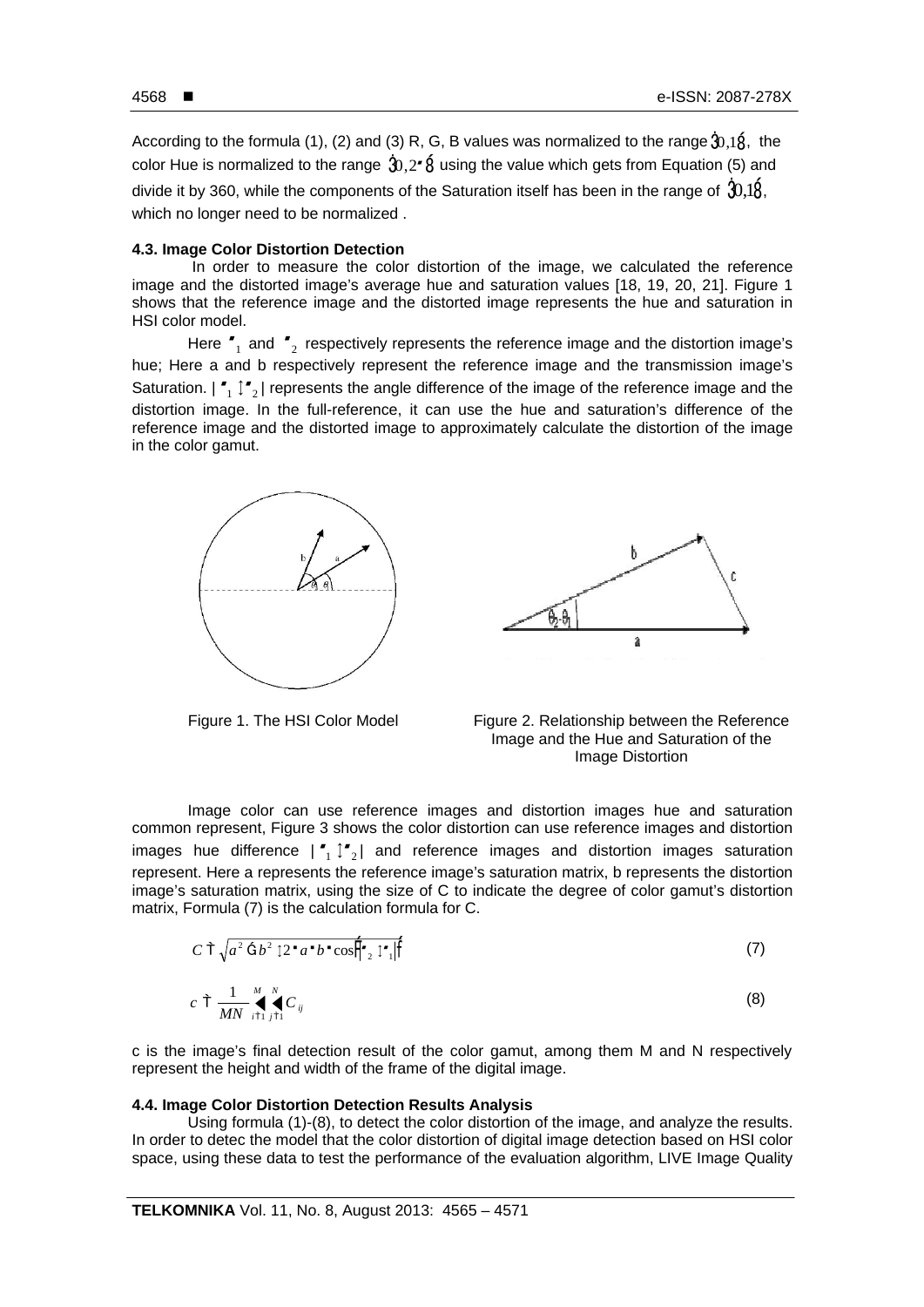According to the formula (1), (2) and (3) R, G, B values was normalized to the range  $\hat{3}0.1\hat{8}$ , the color Hue is normalized to the range  $\hat{A}$ ,  $2 \cdot \hat{B}$  using the value which gets from Equation (5) and divide it by 360, while the components of the Saturation itself has been in the range of  $30.18$ . which no longer need to be normalized .

### **4.3. Image Color Distortion Detection**

In order to measure the color distortion of the image, we calculated the reference image and the distorted image's average hue and saturation values [18, 19, 20, 21]. Figure 1 shows that the reference image and the distorted image represents the hue and saturation in HSI color model.

Here  $r_{1}$  and  $r_{2}$  respectively represents the reference image and the distortion image's hue; Here a and b respectively represent the reference image and the transmission image's Saturation.  $|\ulcorner_{1}\urcorner_{2}|$  represents the angle difference of the image of the reference image and the distortion image. In the full-reference, it can use the hue and saturation's difference of the reference image and the distorted image to approximately calculate the distortion of the image in the color gamut.







Image color can use reference images and distortion images hue and saturation common represent, Figure 3 shows the color distortion can use reference images and distortion images hue difference  $|\cdot|_1 \hat{p}_2|$  and reference images and distortion images saturation represent. Here a represents the reference image's saturation matrix, b represents the distortion image's saturation matrix, using the size of C to indicate the degree of color gamut's distortion matrix, Formula (7) is the calculation formula for C.

$$
C \uparrow \sqrt{a^2 \uparrow b^2 \downarrow 2^2 a^2 b^2 \cos \frac{4}{2} \downarrow^2} \uparrow^2
$$
 (7)

$$
c \uparrow \frac{1}{MN} \bigvee_{i \uparrow 1}^{M} C_{ij} \tag{8}
$$

c is the image's final detection result of the color gamut, among them M and N respectively represent the height and width of the frame of the digital image.

#### **4.4. Image Color Distortion Detection Results Analysis**

Using formula (1)-(8), to detect the color distortion of the image, and analyze the results. In order to detec the model that the color distortion of digital image detection based on HSI color space, using these data to test the performance of the evaluation algorithm, LIVE Image Quality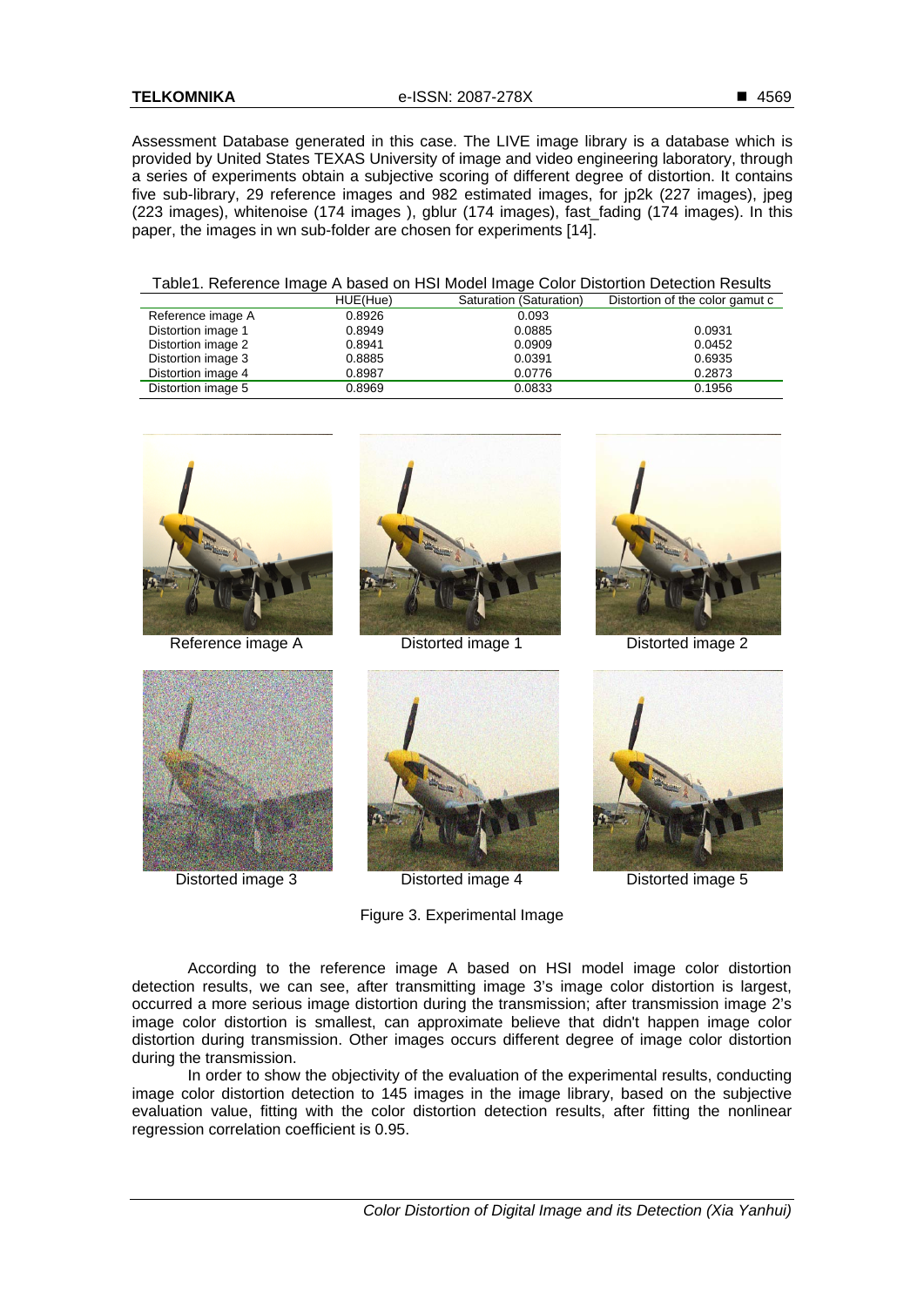Assessment Database generated in this case. The LIVE image library is a database which is provided by United States TEXAS University of image and video engineering laboratory, through a series of experiments obtain a subjective scoring of different degree of distortion. It contains five sub-library, 29 reference images and 982 estimated images, for jp2k (227 images), jpeg (223 images), whitenoise (174 images ), gblur (174 images), fast\_fading (174 images). In this paper, the images in wn sub-folder are chosen for experiments [14].

| Table1. Reference Image A based on HSI Model Image Color Distortion Detection Results |
|---------------------------------------------------------------------------------------|
|---------------------------------------------------------------------------------------|

|                    | HUE(Hue) | Saturation (Saturation) | Distortion of the color gamut c |
|--------------------|----------|-------------------------|---------------------------------|
| Reference image A  | 0.8926   | 0.093                   |                                 |
| Distortion image 1 | 0.8949   | 0.0885                  | 0.0931                          |
| Distortion image 2 | 0.8941   | 0.0909                  | 0.0452                          |
| Distortion image 3 | 0.8885   | 0.0391                  | 0.6935                          |
| Distortion image 4 | 0.8987   | 0.0776                  | 0.2873                          |
| Distortion image 5 | 0.8969   | 0.0833                  | 0.1956                          |











Distorted image 3 Distorted image 4 Distorted image 5

Figure 3. Experimental Image



According to the reference image A based on HSI model image color distortion detection results, we can see, after transmitting image 3's image color distortion is largest, occurred a more serious image distortion during the transmission; after transmission image 2's image color distortion is smallest, can approximate believe that didn't happen image color distortion during transmission. Other images occurs different degree of image color distortion during the transmission.

In order to show the objectivity of the evaluation of the experimental results, conducting image color distortion detection to 145 images in the image library, based on the subjective evaluation value, fitting with the color distortion detection results, after fitting the nonlinear regression correlation coefficient is 0.95.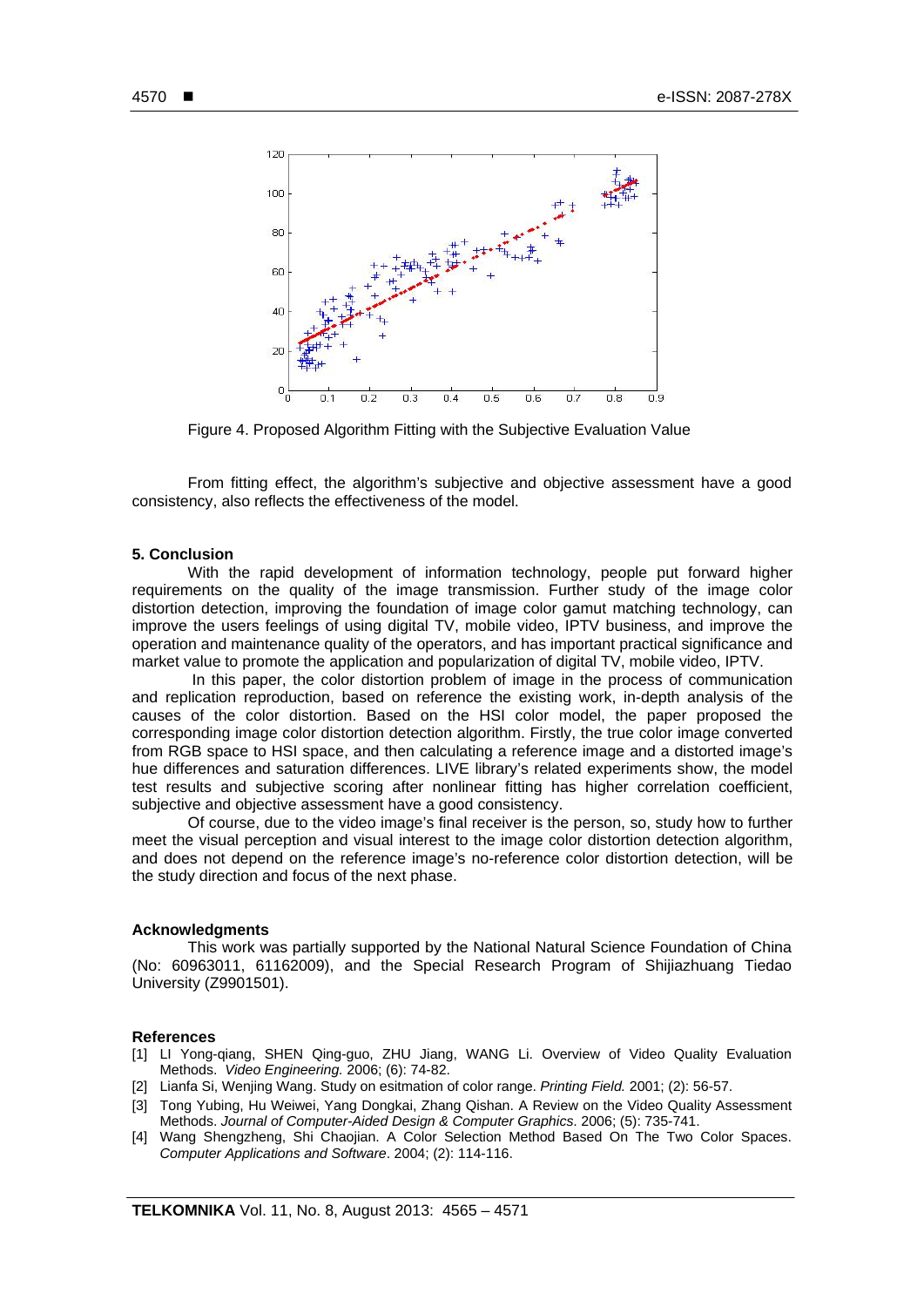

Figure 4. Proposed Algorithm Fitting with the Subjective Evaluation Value

From fitting effect, the algorithm's subjective and objective assessment have a good consistency, also reflects the effectiveness of the model.

#### **5. Conclusion**

With the rapid development of information technology, people put forward higher requirements on the quality of the image transmission. Further study of the image color distortion detection, improving the foundation of image color gamut matching technology, can improve the users feelings of using digital TV, mobile video, IPTV business, and improve the operation and maintenance quality of the operators, and has important practical significance and market value to promote the application and popularization of digital TV, mobile video, IPTV.

 In this paper, the color distortion problem of image in the process of communication and replication reproduction, based on reference the existing work, in-depth analysis of the causes of the color distortion. Based on the HSI color model, the paper proposed the corresponding image color distortion detection algorithm. Firstly, the true color image converted from RGB space to HSI space, and then calculating a reference image and a distorted image's hue differences and saturation differences. LIVE library's related experiments show, the model test results and subjective scoring after nonlinear fitting has higher correlation coefficient, subjective and objective assessment have a good consistency.

Of course, due to the video image's final receiver is the person, so, study how to further meet the visual perception and visual interest to the image color distortion detection algorithm, and does not depend on the reference image's no-reference color distortion detection, will be the study direction and focus of the next phase.

#### **Acknowledgments**

This work was partially supported by the National Natural Science Foundation of China (No: 60963011, 61162009), and the Special Research Program of Shijiazhuang Tiedao University (Z9901501).

#### **References**

- [1] LI Yong-qiang, SHEN Qing-guo, ZHU Jiang, WANG Li. Overview of Video Quality Evaluation Methods. *Video Engineering.* 2006; (6): 74-82.
- [2] Lianfa Si, Wenjing Wang. Study on esitmation of color range. *Printing Field.* 2001; (2): 56-57.
- [3] Tong Yubing, Hu Weiwei, Yang Dongkai, Zhang Qishan. A Review on the Video Quality Assessment Methods. *Journal of Computer-Aided Design & Computer Graphics*. 2006; (5): 735-741.
- [4] Wang Shengzheng, Shi Chaojian. A Color Selection Method Based On The Two Color Spaces. *Computer Applications and Software*. 2004; (2): 114-116.